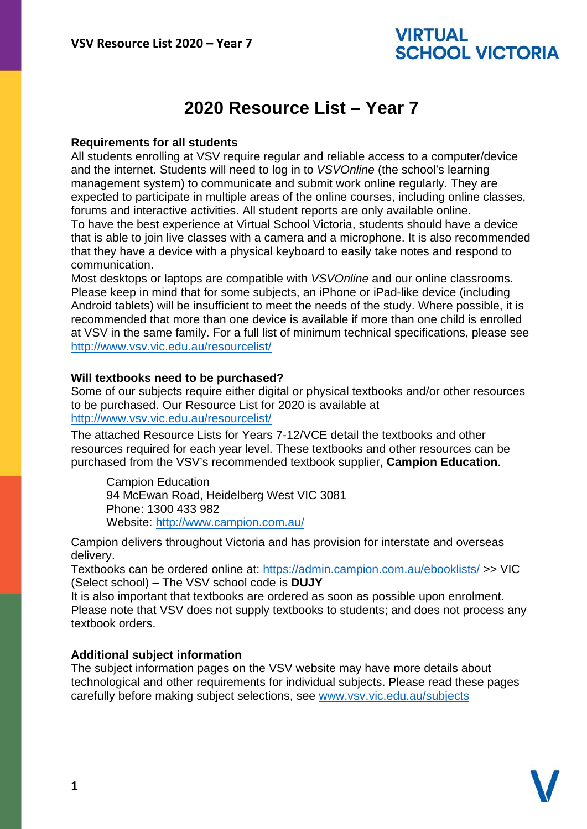# VIRTUAL **SCHOOL VICTORIA**

# **2020 Resource List – Year 7**

## **Requirements for all students**

All students enrolling at VSV require regular and reliable access to a computer/device and the internet. Students will need to log in to *VSVOnline* (the school's learning management system) to communicate and submit work online regularly. They are expected to participate in multiple areas of the online courses, including online classes, forums and interactive activities. All student reports are only available online. To have the best experience at Virtual School Victoria, students should have a device that is able to join live classes with a camera and a microphone. It is also recommended that they have a device with a physical keyboard to easily take notes and respond to communication.

Most desktops or laptops are compatible with *VSVOnline* and our online classrooms. Please keep in mind that for some subjects, an iPhone or iPad-like device (including Android tablets) will be insufficient to meet the needs of the study. Where possible, it is recommended that more than one device is available if more than one child is enrolled at VSV in the same family. For a full list of minimum technical specifications, please see <http://www.vsv.vic.edu.au/resourcelist/>

### **Will textbooks need to be purchased?**

Some of our subjects require either digital or physical textbooks and/or other resources to be purchased. Our Resource List for 2020 is available at [http://www.vsv.vic.edu.au/resourcelist/](http://www.vsv.vic.edu.au/resourcelist/%0d)

The attached Resource Lists for Years 7-12/VCE detail the textbooks and other resources required for each year level. These textbooks and other resources can be purchased from the VSV's recommended textbook supplier, **Campion Education**.

Campion Education 94 McEwan Road, Heidelberg West VIC 3081 Phone: 1300 433 982 Website:<http://www.campion.com.au/>

Campion delivers throughout Victoria and has provision for interstate and overseas delivery.

Textbooks can be ordered online at:<https://admin.campion.com.au/ebooklists/> >> VIC (Select school) – The VSV school code is **DUJY**

It is also important that textbooks are ordered as soon as possible upon enrolment. Please note that VSV does not supply textbooks to students; and does not process any textbook orders.

### **Additional subject information**

The subject information pages on the VSV website may have more details about technological and other requirements for individual subjects. Please read these pages carefully before making subject selections, see [www.vsv.vic.edu.au/subjects](http://www.vsv.vic.edu.au/subjects%0d)